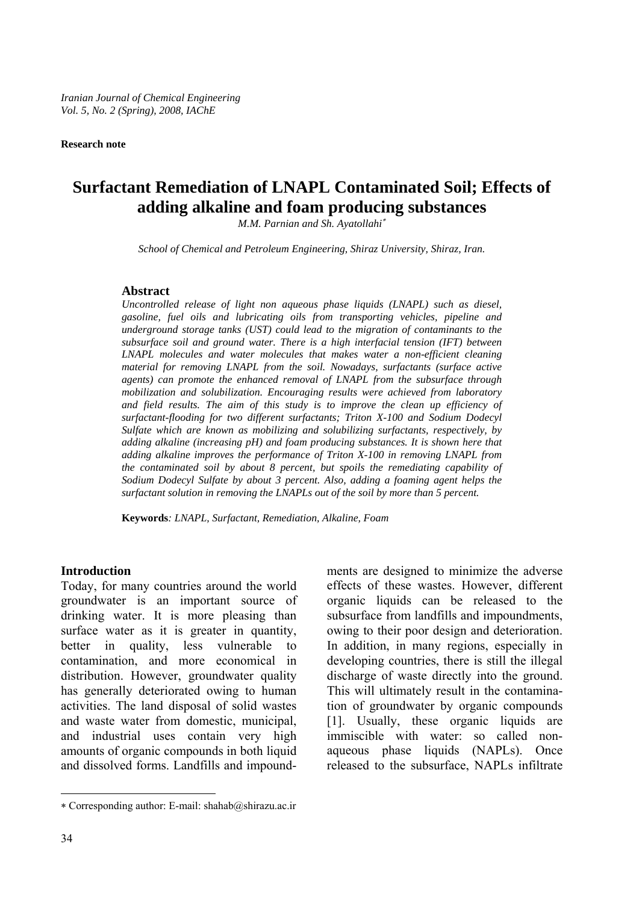*Iranian Journal of Chemical Engineering Vol. 5, No. 2 (Spring), 2008, IAChE* 

**Research note**

# **Surfactant Remediation of LNAPL Contaminated Soil; Effects of adding alkaline and foam producing substances**

*M.M. Parnian and Sh. Ayatollahi*<sup>∗</sup>

*School of Chemical and Petroleum Engineering, Shiraz University, Shiraz, Iran.* 

#### **Abstract**

*Uncontrolled release of light non aqueous phase liquids (LNAPL) such as diesel, gasoline, fuel oils and lubricating oils from transporting vehicles, pipeline and underground storage tanks (UST) could lead to the migration of contaminants to the subsurface soil and ground water. There is a high interfacial tension (IFT) between LNAPL molecules and water molecules that makes water a non-efficient cleaning material for removing LNAPL from the soil. Nowadays, surfactants (surface active agents) can promote the enhanced removal of LNAPL from the subsurface through mobilization and solubilization. Encouraging results were achieved from laboratory and field results. The aim of this study is to improve the clean up efficiency of surfactant-flooding for two different surfactants; Triton X-100 and Sodium Dodecyl Sulfate which are known as mobilizing and solubilizing surfactants, respectively, by adding alkaline (increasing pH) and foam producing substances. It is shown here that adding alkaline improves the performance of Triton X-100 in removing LNAPL from the contaminated soil by about 8 percent, but spoils the remediating capability of Sodium Dodecyl Sulfate by about 3 percent. Also, adding a foaming agent helps the surfactant solution in removing the LNAPLs out of the soil by more than 5 percent.* 

**Keywords***: LNAPL, Surfactant, Remediation, Alkaline, Foam* 

#### **Introduction**

Today, for many countries around the world groundwater is an important source of drinking water. It is more pleasing than surface water as it is greater in quantity, better in quality, less vulnerable to contamination, and more economical in distribution. However, groundwater quality has generally deteriorated owing to human activities. The land disposal of solid wastes and waste water from domestic, municipal, and industrial uses contain very high amounts of organic compounds in both liquid and dissolved forms. Landfills and impoundments are designed to minimize the adverse effects of these wastes. However, different organic liquids can be released to the subsurface from landfills and impoundments, owing to their poor design and deterioration. In addition, in many regions, especially in developing countries, there is still the illegal discharge of waste directly into the ground. This will ultimately result in the contamination of groundwater by organic compounds [1]. Usually, these organic liquids are immiscible with water: so called nonaqueous phase liquids (NAPLs). Once released to the subsurface, NAPLs infiltrate

 $\overline{a}$ 

<sup>∗</sup> Corresponding author: E-mail: shahab@shirazu.ac.ir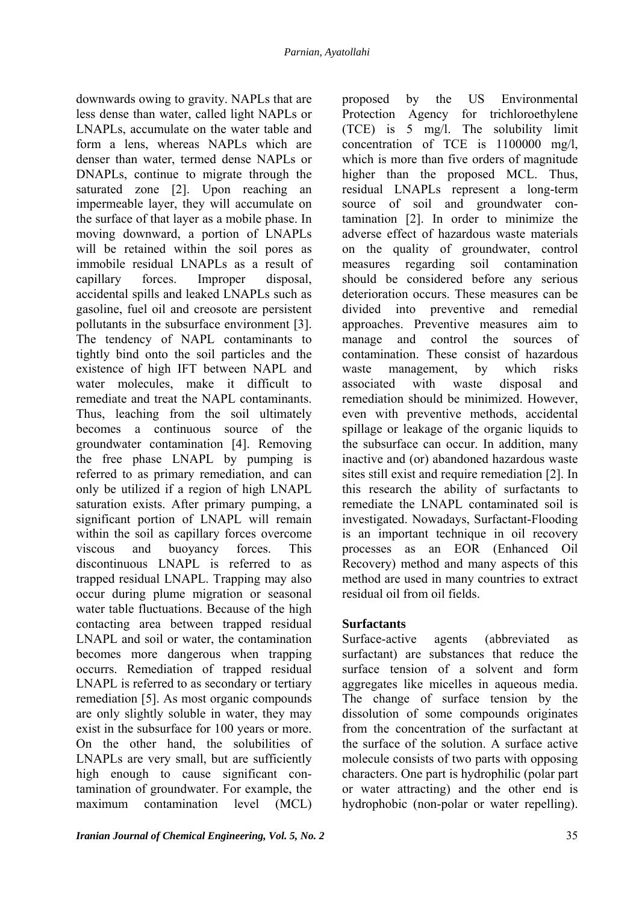downwards owing to gravity. NAPLs that are less dense than water, called light NAPLs or LNAPLs, accumulate on the water table and form a lens, whereas NAPLs which are denser than water, termed dense NAPLs or DNAPLs, continue to migrate through the saturated zone [2]. Upon reaching an impermeable layer, they will accumulate on the surface of that layer as a mobile phase. In moving downward, a portion of LNAPLs will be retained within the soil pores as immobile residual LNAPLs as a result of capillary forces. Improper disposal, accidental spills and leaked LNAPLs such as gasoline, fuel oil and creosote are persistent pollutants in the subsurface environment [3]. The tendency of NAPL contaminants to tightly bind onto the soil particles and the existence of high IFT between NAPL and water molecules, make it difficult to remediate and treat the NAPL contaminants. Thus, leaching from the soil ultimately becomes a continuous source of the groundwater contamination [4]. Removing the free phase LNAPL by pumping is referred to as primary remediation, and can only be utilized if a region of high LNAPL saturation exists. After primary pumping, a significant portion of LNAPL will remain within the soil as capillary forces overcome viscous and buoyancy forces. This discontinuous LNAPL is referred to as trapped residual LNAPL. Trapping may also occur during plume migration or seasonal water table fluctuations. Because of the high contacting area between trapped residual LNAPL and soil or water, the contamination becomes more dangerous when trapping occurrs. Remediation of trapped residual LNAPL is referred to as secondary or tertiary remediation [5]. As most organic compounds are only slightly soluble in water, they may exist in the subsurface for 100 years or more. On the other hand, the solubilities of LNAPLs are very small, but are sufficiently high enough to cause significant contamination of groundwater. For example, the maximum contamination level (MCL) proposed by the US Environmental Protection Agency for trichloroethylene (TCE) is 5 mg/l. The solubility limit concentration of TCE is 1100000 mg/l, which is more than five orders of magnitude higher than the proposed MCL. Thus, residual LNAPLs represent a long-term source of soil and groundwater contamination [2]. In order to minimize the adverse effect of hazardous waste materials on the quality of groundwater, control measures regarding soil contamination should be considered before any serious deterioration occurs. These measures can be divided into preventive and remedial approaches. Preventive measures aim to manage and control the sources of contamination. These consist of hazardous waste management, by which risks associated with waste disposal and remediation should be minimized. However, even with preventive methods, accidental spillage or leakage of the organic liquids to the subsurface can occur. In addition, many inactive and (or) abandoned hazardous waste sites still exist and require remediation [2]. In this research the ability of surfactants to remediate the LNAPL contaminated soil is investigated. Nowadays, Surfactant-Flooding is an important technique in oil recovery processes as an EOR (Enhanced Oil Recovery) method and many aspects of this method are used in many countries to extract residual oil from oil fields.

# **Surfactants**

Surface-active agents (abbreviated as surfactant) are substances that reduce the surface tension of a solvent and form aggregates like micelles in aqueous media. The change of surface tension by the dissolution of some compounds originates from the concentration of the surfactant at the surface of the solution. A surface active molecule consists of two parts with opposing characters. One part is hydrophilic (polar part or water attracting) and the other end is hydrophobic (non-polar or water repelling).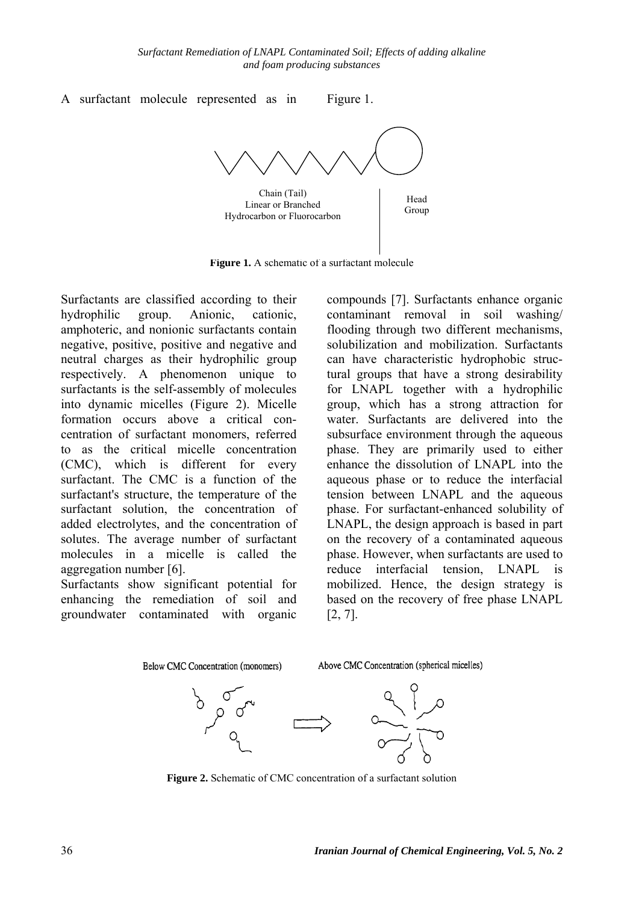

**Figure 1.** A schematic of a surfactant molecule

Surfactants are classified according to their hydrophilic group. Anionic, cationic, amphoteric, and nonionic surfactants contain negative, positive, positive and negative and neutral charges as their hydrophilic group respectively. A phenomenon unique to surfactants is the self-assembly of molecules into dynamic micelles (Figure 2). Micelle formation occurs above a critical concentration of surfactant monomers, referred to as the critical micelle concentration (CMC), which is different for every surfactant. The CMC is a function of the surfactant's structure, the temperature of the surfactant solution, the concentration of added electrolytes, and the concentration of solutes. The average number of surfactant molecules in a micelle is called the aggregation number [6].

Surfactants show significant potential for enhancing the remediation of soil and groundwater contaminated with organic

compounds [7]. Surfactants enhance organic contaminant removal in soil washing/ flooding through two different mechanisms, solubilization and mobilization. Surfactants can have characteristic hydrophobic structural groups that have a strong desirability for LNAPL together with a hydrophilic group, which has a strong attraction for water. Surfactants are delivered into the subsurface environment through the aqueous phase. They are primarily used to either enhance the dissolution of LNAPL into the aqueous phase or to reduce the interfacial tension between LNAPL and the aqueous phase. For surfactant-enhanced solubility of LNAPL, the design approach is based in part on the recovery of a contaminated aqueous phase. However, when surfactants are used to reduce interfacial tension, LNAPL is mobilized. Hence, the design strategy is based on the recovery of free phase LNAPL [2, 7].



**Figure 2.** Schematic of CMC concentration of a surfactant solution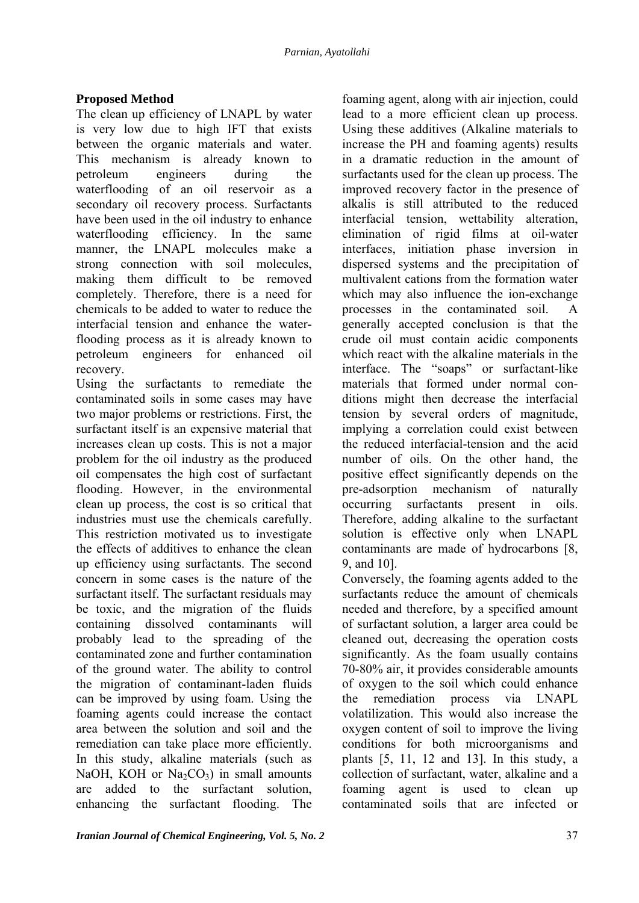### **Proposed Method**

The clean up efficiency of LNAPL by water is very low due to high IFT that exists between the organic materials and water. This mechanism is already known to petroleum engineers during the waterflooding of an oil reservoir as a secondary oil recovery process. Surfactants have been used in the oil industry to enhance waterflooding efficiency. In the same manner, the LNAPL molecules make a strong connection with soil molecules, making them difficult to be removed completely. Therefore, there is a need for chemicals to be added to water to reduce the interfacial tension and enhance the waterflooding process as it is already known to petroleum engineers for enhanced oil recovery.

Using the surfactants to remediate the contaminated soils in some cases may have two major problems or restrictions. First, the surfactant itself is an expensive material that increases clean up costs. This is not a major problem for the oil industry as the produced oil compensates the high cost of surfactant flooding. However, in the environmental clean up process, the cost is so critical that industries must use the chemicals carefully. This restriction motivated us to investigate the effects of additives to enhance the clean up efficiency using surfactants. The second concern in some cases is the nature of the surfactant itself. The surfactant residuals may be toxic, and the migration of the fluids containing dissolved contaminants will probably lead to the spreading of the contaminated zone and further contamination of the ground water. The ability to control the migration of contaminant-laden fluids can be improved by using foam. Using the foaming agents could increase the contact area between the solution and soil and the remediation can take place more efficiently. In this study, alkaline materials (such as NaOH, KOH or  $Na<sub>2</sub>CO<sub>3</sub>$ ) in small amounts are added to the surfactant solution, enhancing the surfactant flooding. The

foaming agent, along with air injection, could lead to a more efficient clean up process. Using these additives (Alkaline materials to increase the PH and foaming agents) results in a dramatic reduction in the amount of surfactants used for the clean up process. The improved recovery factor in the presence of alkalis is still attributed to the reduced interfacial tension, wettability alteration, elimination of rigid films at oil-water interfaces, initiation phase inversion in dispersed systems and the precipitation of multivalent cations from the formation water which may also influence the ion-exchange processes in the contaminated soil. A generally accepted conclusion is that the crude oil must contain acidic components which react with the alkaline materials in the interface. The "soaps" or surfactant-like materials that formed under normal conditions might then decrease the interfacial tension by several orders of magnitude, implying a correlation could exist between the reduced interfacial-tension and the acid number of oils. On the other hand, the positive effect significantly depends on the pre-adsorption mechanism of naturally occurring surfactants present in oils. Therefore, adding alkaline to the surfactant solution is effective only when LNAPL contaminants are made of hydrocarbons [8, 9, and 10].

Conversely, the foaming agents added to the surfactants reduce the amount of chemicals needed and therefore, by a specified amount of surfactant solution, a larger area could be cleaned out, decreasing the operation costs significantly. As the foam usually contains 70-80% air, it provides considerable amounts of oxygen to the soil which could enhance the remediation process via LNAPL volatilization. This would also increase the oxygen content of soil to improve the living conditions for both microorganisms and plants [5, 11, 12 and 13]. In this study, a collection of surfactant, water, alkaline and a foaming agent is used to clean up contaminated soils that are infected or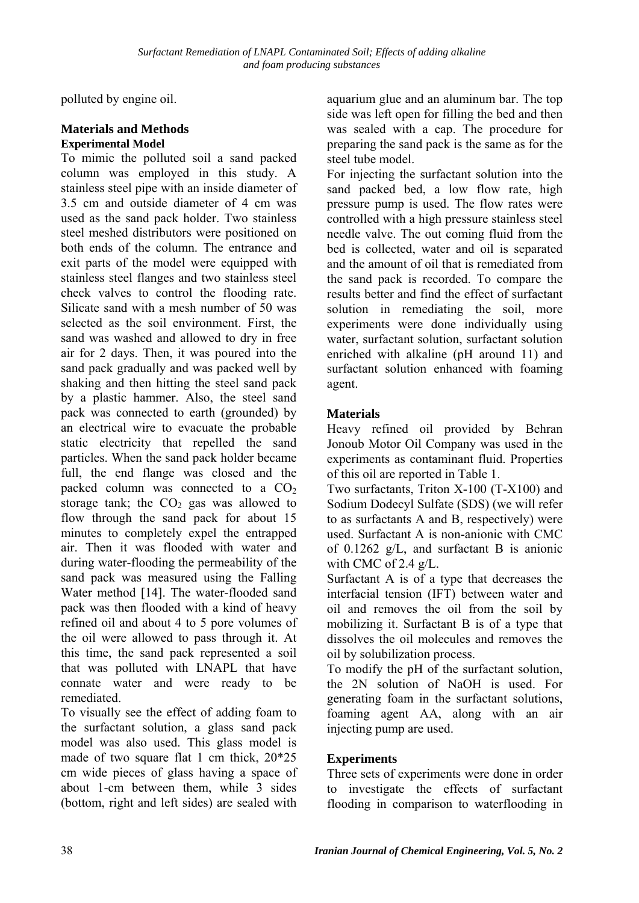polluted by engine oil.

### **Materials and Methods Experimental Model**

To mimic the polluted soil a sand packed column was employed in this study. A stainless steel pipe with an inside diameter of 3.5 cm and outside diameter of 4 cm was used as the sand pack holder. Two stainless steel meshed distributors were positioned on both ends of the column. The entrance and exit parts of the model were equipped with stainless steel flanges and two stainless steel check valves to control the flooding rate. Silicate sand with a mesh number of 50 was selected as the soil environment. First, the sand was washed and allowed to dry in free air for 2 days. Then, it was poured into the sand pack gradually and was packed well by shaking and then hitting the steel sand pack by a plastic hammer. Also, the steel sand pack was connected to earth (grounded) by an electrical wire to evacuate the probable static electricity that repelled the sand particles. When the sand pack holder became full, the end flange was closed and the packed column was connected to a  $CO<sub>2</sub>$ storage tank; the  $CO<sub>2</sub>$  gas was allowed to flow through the sand pack for about 15 minutes to completely expel the entrapped air. Then it was flooded with water and during water-flooding the permeability of the sand pack was measured using the Falling Water method [14]. The water-flooded sand pack was then flooded with a kind of heavy refined oil and about 4 to 5 pore volumes of the oil were allowed to pass through it. At this time, the sand pack represented a soil that was polluted with LNAPL that have connate water and were ready to be remediated.

To visually see the effect of adding foam to the surfactant solution, a glass sand pack model was also used. This glass model is made of two square flat 1 cm thick, 20\*25 cm wide pieces of glass having a space of about 1-cm between them, while 3 sides (bottom, right and left sides) are sealed with

aquarium glue and an aluminum bar. The top side was left open for filling the bed and then was sealed with a cap. The procedure for preparing the sand pack is the same as for the steel tube model.

For injecting the surfactant solution into the sand packed bed, a low flow rate, high pressure pump is used. The flow rates were controlled with a high pressure stainless steel needle valve. The out coming fluid from the bed is collected, water and oil is separated and the amount of oil that is remediated from the sand pack is recorded. To compare the results better and find the effect of surfactant solution in remediating the soil, more experiments were done individually using water, surfactant solution, surfactant solution enriched with alkaline (pH around 11) and surfactant solution enhanced with foaming agent.

# **Materials**

Heavy refined oil provided by Behran Jonoub Motor Oil Company was used in the experiments as contaminant fluid. Properties of this oil are reported in Table 1.

Two surfactants, Triton X-100 (T-X100) and Sodium Dodecyl Sulfate (SDS) (we will refer to as surfactants A and B, respectively) were used. Surfactant A is non-anionic with CMC of 0.1262 g/L, and surfactant B is anionic with CMC of 2.4 g/L.

Surfactant A is of a type that decreases the interfacial tension (IFT) between water and oil and removes the oil from the soil by mobilizing it. Surfactant B is of a type that dissolves the oil molecules and removes the oil by solubilization process.

To modify the pH of the surfactant solution, the 2N solution of NaOH is used. For generating foam in the surfactant solutions, foaming agent AA, along with an air injecting pump are used.

# **Experiments**

Three sets of experiments were done in order to investigate the effects of surfactant flooding in comparison to waterflooding in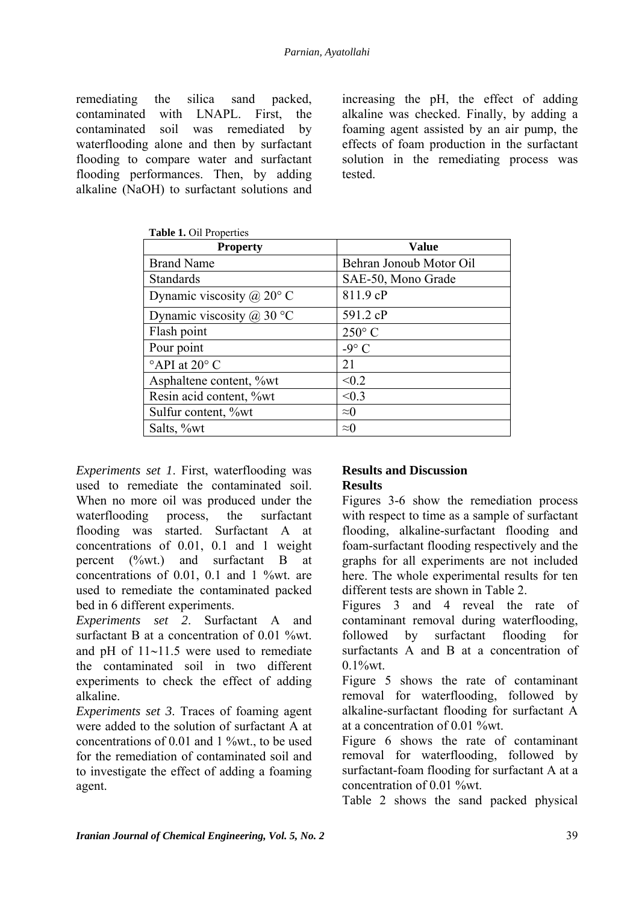remediating the silica sand packed, contaminated with LNAPL. First, the contaminated soil was remediated by waterflooding alone and then by surfactant flooding to compare water and surfactant flooding performances. Then, by adding alkaline (NaOH) to surfactant solutions and increasing the pH, the effect of adding alkaline was checked. Finally, by adding a foaming agent assisted by an air pump, the effects of foam production in the surfactant solution in the remediating process was tested.

| <b>Table 1.</b> On Froperies       |                         |  |  |  |  |  |  |
|------------------------------------|-------------------------|--|--|--|--|--|--|
| <b>Property</b>                    | <b>Value</b>            |  |  |  |  |  |  |
| <b>Brand Name</b>                  | Behran Jonoub Motor Oil |  |  |  |  |  |  |
| <b>Standards</b>                   | SAE-50, Mono Grade      |  |  |  |  |  |  |
| Dynamic viscosity @ $20^{\circ}$ C | 811.9 cP                |  |  |  |  |  |  |
| Dynamic viscosity $(a)$ 30 °C      | 591.2 cP                |  |  |  |  |  |  |
| Flash point                        | $250^{\circ}$ C         |  |  |  |  |  |  |
| Pour point                         | $-9^\circ$ C            |  |  |  |  |  |  |
| $^{\circ}$ API at 20 $^{\circ}$ C  | 21                      |  |  |  |  |  |  |
| Asphaltene content, %wt            | < 0.2                   |  |  |  |  |  |  |
| Resin acid content, %wt            | < 0.3                   |  |  |  |  |  |  |
| Sulfur content, %wt                | $\approx 0$             |  |  |  |  |  |  |
| Salts, %wt                         | $\approx 0$             |  |  |  |  |  |  |
|                                    |                         |  |  |  |  |  |  |

**Table 1.** Oil Properties

*Experiments set 1*. First, waterflooding was used to remediate the contaminated soil. When no more oil was produced under the waterflooding process, the surfactant flooding was started. Surfactant A at concentrations of 0.01, 0.1 and 1 weight percent (%wt.) and surfactant B at concentrations of 0.01, 0.1 and 1 %wt. are used to remediate the contaminated packed bed in 6 different experiments.

*Experiments set 2*. Surfactant A and surfactant B at a concentration of 0.01 %wt. and pH of 11∼11.5 were used to remediate the contaminated soil in two different experiments to check the effect of adding alkaline.

*Experiments set 3*. Traces of foaming agent were added to the solution of surfactant A at concentrations of 0.01 and 1 %wt., to be used for the remediation of contaminated soil and to investigate the effect of adding a foaming agent.

#### **Results and Discussion Results**

Figures 3-6 show the remediation process with respect to time as a sample of surfactant flooding, alkaline-surfactant flooding and foam-surfactant flooding respectively and the graphs for all experiments are not included here. The whole experimental results for ten different tests are shown in Table 2.

Figures 3 and 4 reveal the rate of contaminant removal during waterflooding, followed by surfactant flooding for surfactants A and B at a concentration of  $0.1\%$  wt.

Figure 5 shows the rate of contaminant removal for waterflooding, followed by alkaline-surfactant flooding for surfactant A at a concentration of 0.01 %wt.

Figure 6 shows the rate of contaminant removal for waterflooding, followed by surfactant-foam flooding for surfactant A at a concentration of 0.01 %wt.

Table 2 shows the sand packed physical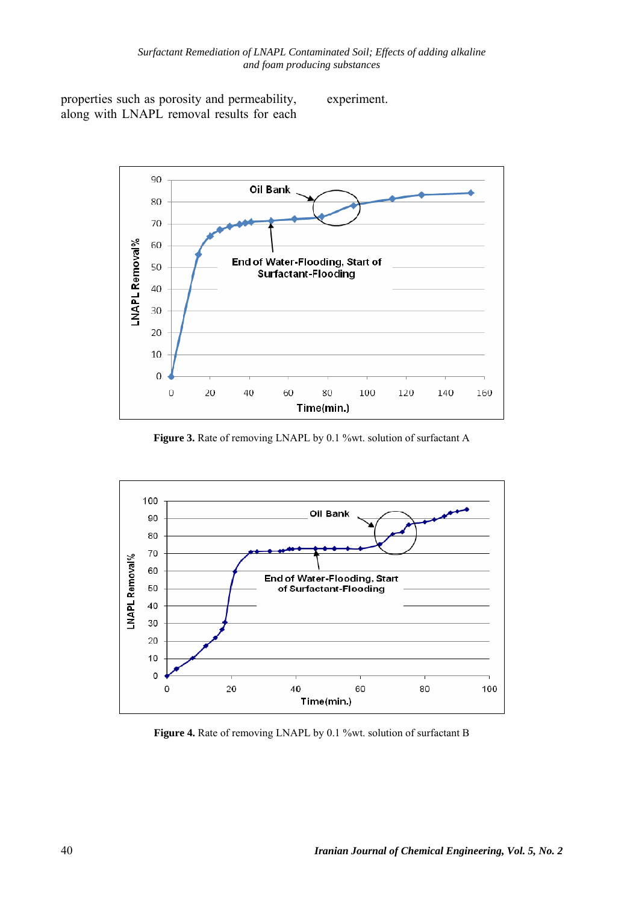properties such as porosity and permeability, along with LNAPL removal results for each

experiment.



Figure 3. Rate of removing LNAPL by 0.1 %wt. solution of surfactant A



Figure 4. Rate of removing LNAPL by 0.1 %wt. solution of surfactant B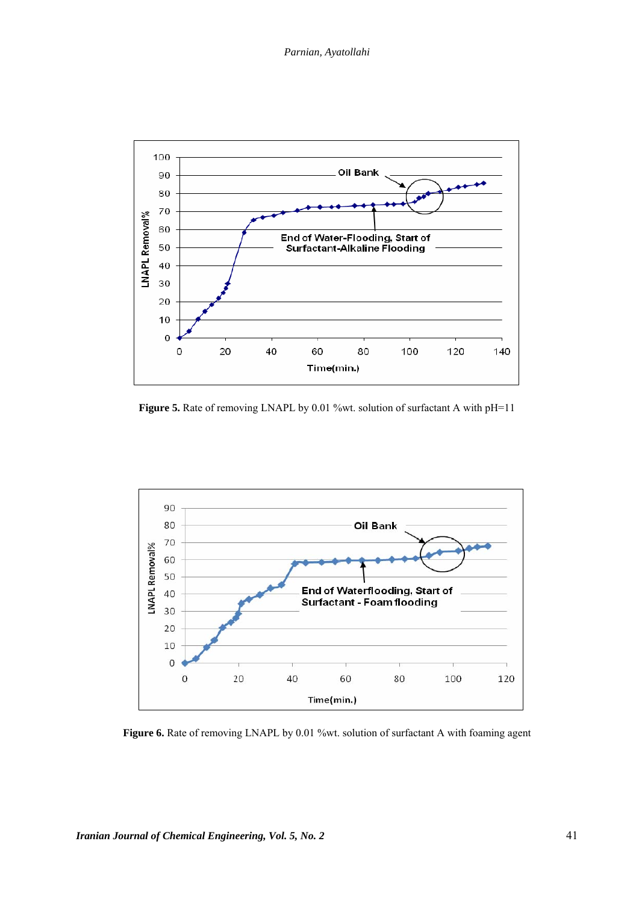

Figure 5. Rate of removing LNAPL by 0.01 %wt. solution of surfactant A with pH=11



Figure 6. Rate of removing LNAPL by 0.01 %wt. solution of surfactant A with foaming agent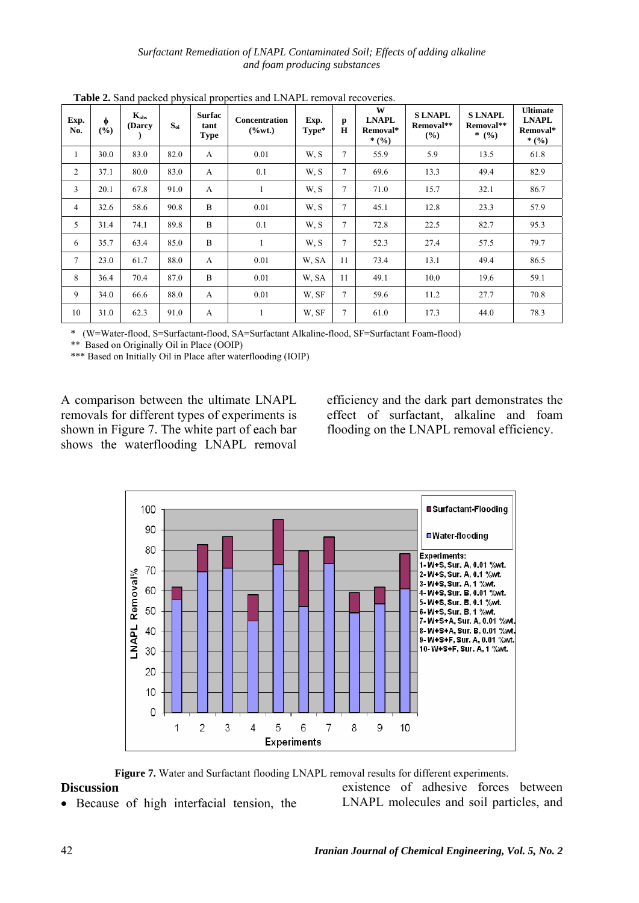*Surfactant Remediation of LNAPL Contaminated Soil; Effects of adding alkaline and foam producing substances* 

| Exp.<br>No.    | φ<br>$\frac{6}{9}$ | $K_{\rm abs}$<br>(Darcy | $S_{oi}$ | <b>Surfac</b><br>tant<br><b>Type</b> | <b>Concentration</b><br>$(\%wt.)$ | Exp.<br>Type* | p<br>H | W<br><b>LNAPL</b><br>Removal*<br>* $(9/6)$ | <b>SLNAPL</b><br>Removal**<br>(%) | <b>SLNAPL</b><br>Removal**<br>* $(9/0)$ | <b>Ultimate</b><br><b>LNAPL</b><br>Removal*<br>* $(9/6)$ |
|----------------|--------------------|-------------------------|----------|--------------------------------------|-----------------------------------|---------------|--------|--------------------------------------------|-----------------------------------|-----------------------------------------|----------------------------------------------------------|
| 1              | 30.0               | 83.0                    | 82.0     | A                                    | 0.01                              | W, S          | 7      | 55.9                                       | 5.9                               | 13.5                                    | 61.8                                                     |
| $\overline{c}$ | 37.1               | 80.0                    | 83.0     | A                                    | 0.1                               | W, S          | 7      | 69.6                                       | 13.3                              | 49.4                                    | 82.9                                                     |
| 3              | 20.1               | 67.8                    | 91.0     | A                                    |                                   | W.S           | 7      | 71.0                                       | 15.7                              | 32.1                                    | 86.7                                                     |
| 4              | 32.6               | 58.6                    | 90.8     | B                                    | 0.01                              | W, S          | 7      | 45.1                                       | 12.8                              | 23.3                                    | 57.9                                                     |
| 5              | 31.4               | 74.1                    | 89.8     | B                                    | 0.1                               | W, S          | 7      | 72.8                                       | 22.5                              | 82.7                                    | 95.3                                                     |
| 6              | 35.7               | 63.4                    | 85.0     | B                                    | 1                                 | W.S           | 7      | 52.3                                       | 27.4                              | 57.5                                    | 79.7                                                     |
| $\overline{7}$ | 23.0               | 61.7                    | 88.0     | A                                    | 0.01                              | W. SA         | 11     | 73.4                                       | 13.1                              | 49.4                                    | 86.5                                                     |
| 8              | 36.4               | 70.4                    | 87.0     | B                                    | 0.01                              | W. SA         | 11     | 49.1                                       | 10.0                              | 19.6                                    | 59.1                                                     |
| 9              | 34.0               | 66.6                    | 88.0     | A                                    | 0.01                              | W, SF         | 7      | 59.6                                       | 11.2                              | 27.7                                    | 70.8                                                     |
| 10             | 31.0               | 62.3                    | 91.0     | A                                    | 1                                 | W, SF         | 7      | 61.0                                       | 17.3                              | 44.0                                    | 78.3                                                     |

**Table 2.** Sand packed physical properties and LNAPL removal recoveries.

\* (W=Water-flood, S=Surfactant-flood, SA=Surfactant Alkaline-flood, SF=Surfactant Foam-flood)

\*\* Based on Originally Oil in Place (OOIP)

\*\*\* Based on Initially Oil in Place after waterflooding (IOIP)

A comparison between the ultimate LNAPL removals for different types of experiments is shown in Figure 7. The white part of each bar shows the waterflooding LNAPL removal efficiency and the dark part demonstrates the effect of surfactant, alkaline and foam flooding on the LNAPL removal efficiency.



**Figure 7.** Water and Surfactant flooding LNAPL removal results for different experiments.

#### **Discussion**

• Because of high interfacial tension, the

existence of adhesive forces between LNAPL molecules and soil particles, and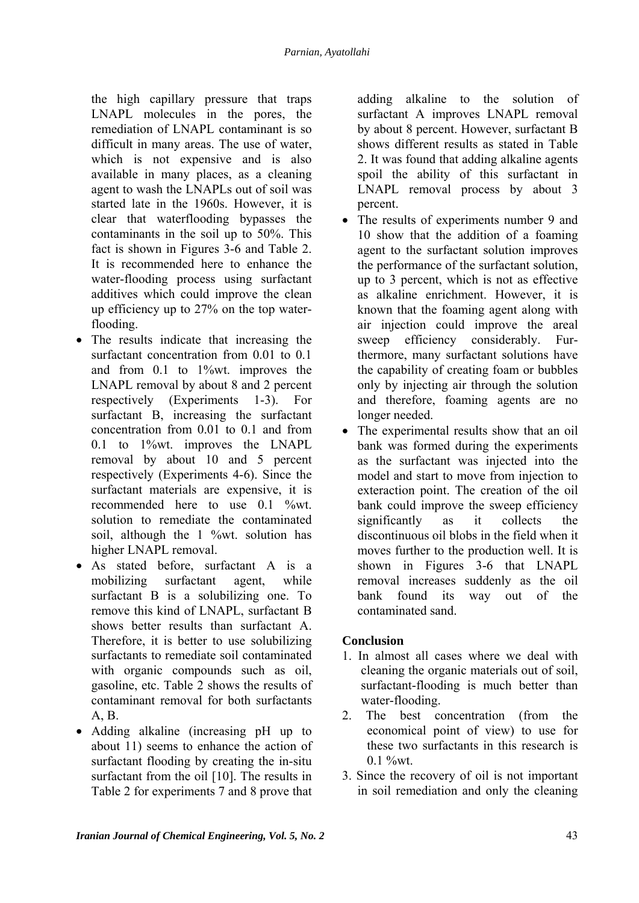the high capillary pressure that traps LNAPL molecules in the pores, the remediation of LNAPL contaminant is so difficult in many areas. The use of water, which is not expensive and is also available in many places, as a cleaning agent to wash the LNAPLs out of soil was started late in the 1960s. However, it is clear that waterflooding bypasses the contaminants in the soil up to 50%. This fact is shown in Figures 3-6 and Table 2. It is recommended here to enhance the water-flooding process using surfactant additives which could improve the clean up efficiency up to 27% on the top waterflooding.

- The results indicate that increasing the surfactant concentration from 0.01 to 0.1 and from  $0.1$  to  $1\%$  wt. improves the LNAPL removal by about 8 and 2 percent respectively (Experiments 1-3). For surfactant B, increasing the surfactant concentration from 0.01 to 0.1 and from 0.1 to 1%wt. improves the LNAPL removal by about 10 and 5 percent respectively (Experiments 4-6). Since the surfactant materials are expensive, it is recommended here to use 0.1 %wt. solution to remediate the contaminated soil, although the 1 %wt. solution has higher LNAPL removal.
- As stated before, surfactant A is a mobilizing surfactant agent, while surfactant B is a solubilizing one. To remove this kind of LNAPL, surfactant B shows better results than surfactant A. Therefore, it is better to use solubilizing surfactants to remediate soil contaminated with organic compounds such as oil, gasoline, etc. Table 2 shows the results of contaminant removal for both surfactants A, B.
- Adding alkaline (increasing pH up to about 11) seems to enhance the action of surfactant flooding by creating the in-situ surfactant from the oil [10]. The results in Table 2 for experiments 7 and 8 prove that

adding alkaline to the solution of surfactant A improves LNAPL removal by about 8 percent. However, surfactant B shows different results as stated in Table 2. It was found that adding alkaline agents spoil the ability of this surfactant in LNAPL removal process by about 3 percent.

- The results of experiments number 9 and 10 show that the addition of a foaming agent to the surfactant solution improves the performance of the surfactant solution, up to 3 percent, which is not as effective as alkaline enrichment. However, it is known that the foaming agent along with air injection could improve the areal sweep efficiency considerably. Furthermore, many surfactant solutions have the capability of creating foam or bubbles only by injecting air through the solution and therefore, foaming agents are no longer needed.
- The experimental results show that an oil bank was formed during the experiments as the surfactant was injected into the model and start to move from injection to exteraction point. The creation of the oil bank could improve the sweep efficiency significantly as it collects the discontinuous oil blobs in the field when it moves further to the production well. It is shown in Figures 3-6 that LNAPL removal increases suddenly as the oil bank found its way out of the contaminated sand.

# **Conclusion**

- 1. In almost all cases where we deal with cleaning the organic materials out of soil, surfactant-flooding is much better than water-flooding.
- 2. The best concentration (from the economical point of view) to use for these two surfactants in this research is  $0.1 \%$  wt.
- 3. Since the recovery of oil is not important in soil remediation and only the cleaning